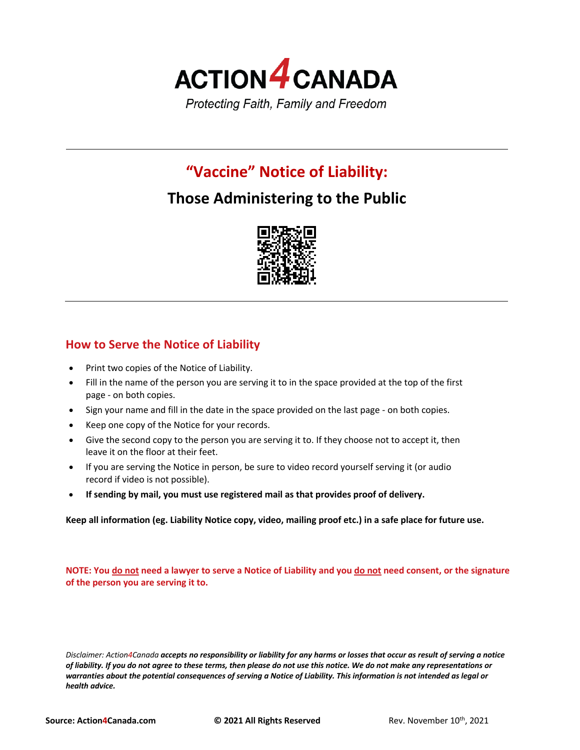

# **"Vaccine" Notice of Liability:**

# **Those Administering to the Public**



## **How to Serve the Notice of Liability**

- Print two copies of the Notice of Liability.
- Fill in the name of the person you are serving it to in the space provided at the top of the first page - on both copies.
- Sign your name and fill in the date in the space provided on the last page on both copies.
- Keep one copy of the Notice for your records.
- Give the second copy to the person you are serving it to. If they choose not to accept it, then leave it on the floor at their feet.
- If you are serving the Notice in person, be sure to video record yourself serving it (or audio record if video is not possible).
- **If sending by mail, you must use registered mail as that provides proof of delivery.**

**Keep all information (eg. Liability Notice copy, video, mailing proof etc.) in a safe place for future use.**

**NOTE: You do not need a lawyer to serve a Notice of Liability and you do not need consent, or the signature of the person you are serving it to.**

*Disclaimer: Action4Canada accepts no responsibility or liability for any harms or losses that occur as result of serving a notice of liability. If you do not agree to these terms, then please do not use this notice. We do not make any representations or warranties about the potential consequences of serving a Notice of Liability. This information is not intended as legal or health advice.*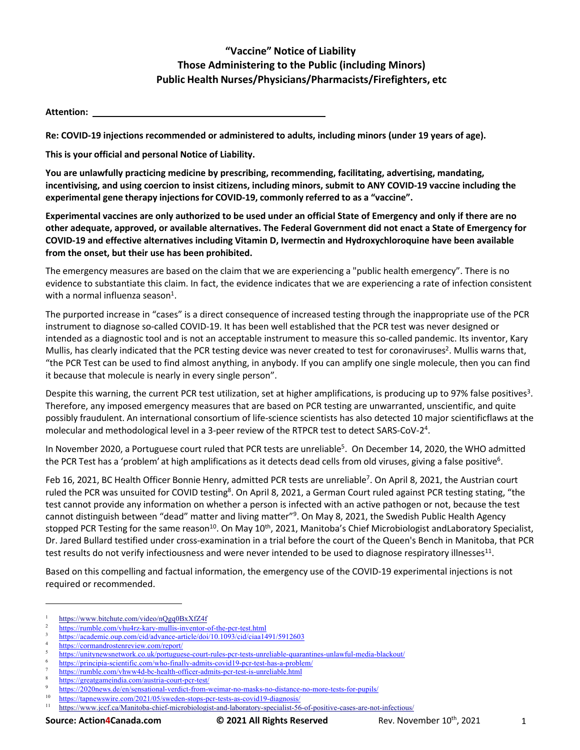## **"Vaccine" Notice of Liability Those Administering to the Public (including Minors) Public Health Nurses/Physicians/Pharmacists/Firefighters, etc**

**Attention:** 

**Re: COVID-19 injections recommended or administered to adults, including minors (under 19 years of age).**

**This is your official and personal Notice of Liability.**

**You are unlawfully practicing medicine by prescribing, recommending, facilitating, advertising, mandating, incentivising, and using coercion to insist citizens, including minors, submit to ANY COVID-19 vaccine including the experimental gene therapy injections for COVID-19, commonly referred to as a "vaccine".**

**Experimental vaccines are only authorized to be used under an official State of Emergency and only if there are no other adequate, approved, or available alternatives. The Federal Government did not enact a State of Emergency for COVID-19 and effective alternatives including Vitamin D, Ivermectin and Hydroxychloroquine have been available from the onset, but their use has been prohibited.**

The emergency measures are based on the claim that we are experiencing a "public health emergency". There is no evidence to substantiate this claim. In fact, the evidence indicates that we are experiencing a rate of infection consistent with a normal influenza season $1$ .

The purported increase in "cases" is a direct consequence of increased testing through the inappropriate use of the PCR instrument to diagnose so-called COVID-19. It has been well established that the PCR test was never designed or intended as a diagnostic tool and is not an acceptable instrument to measure this so-called pandemic. Its inventor, Kary Mullis, has clearly indicated that the PCR testing device was never created to test for coronaviruses<sup>2</sup>. Mullis warns that, "the PCR Test can be used to find almost anything, in anybody. If you can amplify one single molecule, then you can find it because that molecule is nearly in every single person".

Despite this warning, the current PCR test utilization, set at higher amplifications, is producing up to 97% false positives<sup>3</sup>. Therefore, any imposed emergency measures that are based on PCR testing are unwarranted, unscientific, and quite possibly fraudulent. An international consortium of life-science scientists has also detected 10 major scientificflaws at the molecular and methodological level in a 3-peer review of the RTPCR test to detect SARS-CoV-2<sup>4</sup>.

In November 2020, a Portuguese court ruled that PCR tests are unreliable<sup>5</sup>. On December 14, 2020, the WHO admitted the PCR Test has a 'problem' at high amplifications as it detects dead cells from old viruses, giving a false positive<sup>6</sup>.

Feb 16, 2021, BC Health Officer Bonnie Henry, admitted PCR tests are unreliable<sup>7</sup>. On April 8, 2021, the Austrian court ruled the PCR was unsuited for COVID testing<sup>8</sup>. On April 8, 2021, a German Court ruled against PCR testing stating, "the test cannot provide any information on whether a person is infected with an active pathogen or not, because the test cannot distinguish between "dead" matter and living matter"<sup>9</sup>. On May 8, 2021, the Swedish Public Health Agency stopped PCR Testing for the same reason<sup>10</sup>. On May 10<sup>th</sup>, 2021, Manitoba's Chief Microbiologist andLaboratory Specialist, Dr. Jared Bullard testified under cross-examination in a trial before the court of the Queen's Bench in Manitoba, that PCR test results do not verify infectiousness and were never intended to be used to diagnose respiratory illnesses $^{11}$ .

Based on this compelling and factual information, the emergency use of the COVID-19 experimental injections is not required or recommended.

 $\frac{1}{2}$  https://www.bitchute.com/video/nQgq0BxXfZ4f

<sup>2</sup> https://rumble.com/vhu4rz-kary-mullis-inventor-of-the-pcr-test.html

<sup>3</sup> https://academic.oup.com/cid/advance-article/doi/10.1093/cid/ciaa1491/5912603

https://cormandrostenreview.com/report/

<sup>5</sup> https://unitynewsnetwork.co.uk/portuguese-court-rules-pcr-tests-unreliable-quarantines-unlawful-media-blackout/

https://principia-scientific.com/who-finally-admits-covid19-pcr-test-has-a-problem/

https://rumble.com/vhww4d-bc-health-officer-admits-pcr-test-is-unreliable.html

<sup>8</sup> https://greatgameindia.com/austria-court-pcr-test/

<sup>&</sup>lt;sup>9</sup> https://2020news.de/en/sensational-verdict-from-weimar-no-masks-no-distance-no-more-tests-for-pupils/<br><sup>10</sup> https://tennewsites.com/2021/05/syroden stage par tests as asytid10 disensate/

 $\frac{10}{11}$  https://tapnewswire.com/2021/05/sweden-stops-pcr-tests-as-covid19-diagnosis/<br> $\frac{11}{11}$  https://www.jecf.co/Manitoba.chiaf.microbiologist.and laboratory.specialist.56

<sup>11</sup> https://www.jccf.ca/Manitoba-chief-microbiologist-and-laboratory-specialist-56-of-positive-cases-are-not-infectious/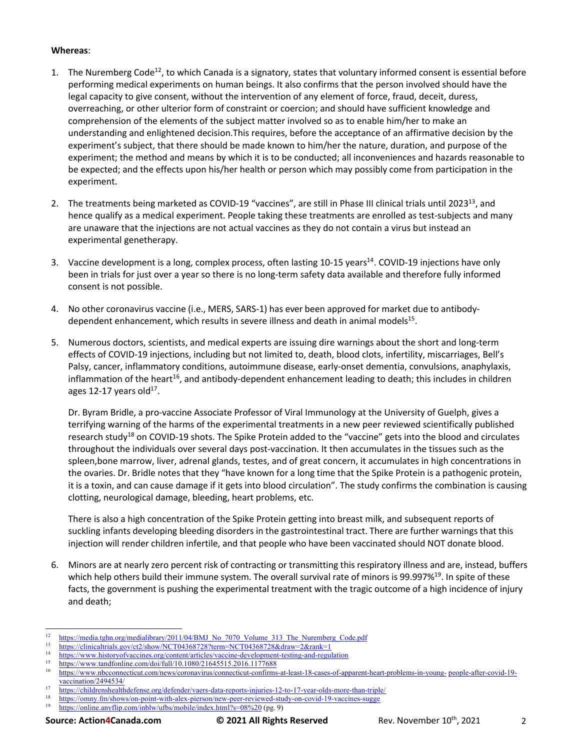#### **Whereas**:

- 1. The Nuremberg Code<sup>12</sup>, to which Canada is a signatory, states that voluntary informed consent is essential before performing medical experiments on human beings. It also confirms that the person involved should have the legal capacity to give consent, without the intervention of any element of force, fraud, deceit, duress, overreaching, or other ulterior form of constraint or coercion; and should have sufficient knowledge and comprehension of the elements of the subject matter involved so as to enable him/her to make an understanding and enlightened decision.This requires, before the acceptance of an affirmative decision by the experiment's subject, that there should be made known to him/her the nature, duration, and purpose of the experiment; the method and means by which it is to be conducted; all inconveniences and hazards reasonable to be expected; and the effects upon his/her health or person which may possibly come from participation in the experiment.
- 2. The treatments being marketed as COVID-19 "vaccines", are still in Phase III clinical trials until 2023<sup>13</sup>, and hence qualify as a medical experiment. People taking these treatments are enrolled as test-subjects and many are unaware that the injections are not actual vaccines as they do not contain a virus but instead an experimental genetherapy.
- 3. Vaccine development is a long, complex process, often lasting 10-15 years<sup>14</sup>. COVID-19 injections have only been in trials for just over a year so there is no long-term safety data available and therefore fully informed consent is not possible.
- 4. No other coronavirus vaccine (i.e., MERS, SARS-1) has ever been approved for market due to antibodydependent enhancement, which results in severe illness and death in animal models<sup>15</sup>.
- 5. Numerous doctors, scientists, and medical experts are issuing dire warnings about the short and long-term effects of COVID-19 injections, including but not limited to, death, blood clots, infertility, miscarriages, Bell's Palsy, cancer, inflammatory conditions, autoimmune disease, early-onset dementia, convulsions, anaphylaxis, inflammation of the heart<sup>16</sup>, and antibody-dependent enhancement leading to death; this includes in children ages 12-17 years old $^{17}$ .

Dr. Byram Bridle, a pro-vaccine Associate Professor of Viral Immunology at the University of Guelph, gives a terrifying warning of the harms of the experimental treatments in a new peer reviewed scientifically published research study<sup>18</sup> on COVID-19 shots. The Spike Protein added to the "vaccine" gets into the blood and circulates throughout the individuals over several days post-vaccination. It then accumulates in the tissues such as the spleen,bone marrow, liver, adrenal glands, testes, and of great concern, it accumulates in high concentrations in the ovaries. Dr. Bridle notes that they "have known for a long time that the Spike Protein is a pathogenic protein, it is a toxin, and can cause damage if it gets into blood circulation". The study confirms the combination is causing clotting, neurological damage, bleeding, heart problems, etc.

There is also a high concentration of the Spike Protein getting into breast milk, and subsequent reports of suckling infants developing bleeding disorders in the gastrointestinal tract. There are further warnings that this injection will render children infertile, and that people who have been vaccinated should NOT donate blood.

6. Minors are at nearly zero percent risk of contracting or transmitting this respiratory illness and are, instead, buffers which help others build their immune system. The overall survival rate of minors is 99.997%<sup>19</sup>. In spite of these facts, the government is pushing the experimental treatment with the tragic outcome of a high incidence of injury and death;

- <sup>14</sup> https://www.historyofvaccines.org/content/articles/vaccine-development-testing-and-regulation<br> $\frac{15}{12}$  https://www.historyofvaccines.org/dai/6.11/10.1000/01645515.2016.1177600
- <sup>15</sup> https://www.tandfonline.com/doi/full/10.1080/21645515.2016.1177688<br><sup>16</sup> https://www.theograpeticut.com/naug/corporations/competitive on figure

- 17 https://childrenshealthdefense.org/defender/vaers-data-reports-injuries-12-to-17-year-olds-more-than-triple/<br>18 https://childrenshealthdefense.org/defender/vaers-data-reports-injuries-12-to-17-year-olds-more-than-triple
- $\frac{18}{19}$  https://omny.fm/shows/on-point-with-alex-pierson/new-peer-reviewed-study-on-covid-19-vaccines-sugge<br>bttps://online.org/lin.com/inblu/utbs/mobile/index.html?s=08%20.(pg.0) https://online.anyflip.com/inblw/ufbs/mobile/index.html?s=08%20 (pg. 9)

<sup>&</sup>lt;sup>12</sup> https://media.tghn.org/medialibrary/2011/04/BMJ\_No\_7070\_Volume\_313\_The\_Nuremberg\_Code.pdf<br><sup>13</sup> https://pliniaaltijsla.gav/at2/abou/NCT042697292tamn=NCT04269729.edgavir=2.egg/lrg1

 $13$  https://clinicaltrials.gov/ct2/show/NCT04368728?term=NCT04368728&draw=2&rank=1

<sup>16</sup> https://www.nbcconnecticut.com/news/coronavirus/connecticut-confirms-at-least-18-cases-of-apparent-heart-problems-in-young- people-after-covid-19 vaccination/2494534/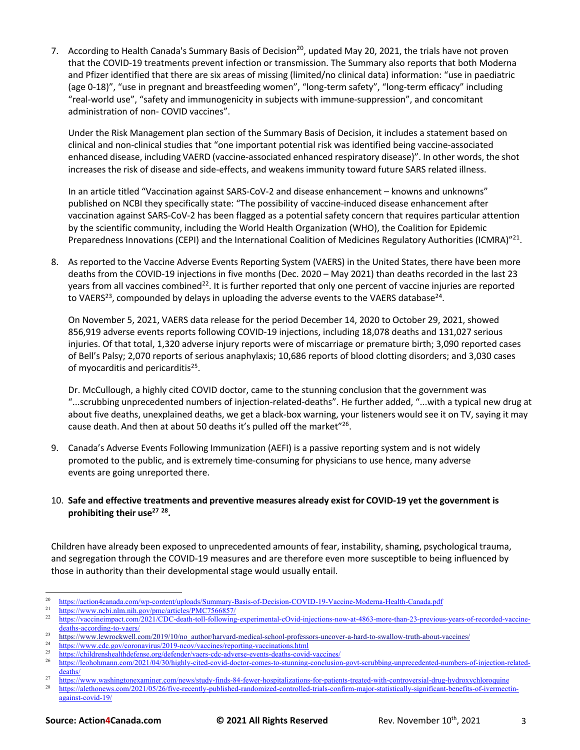7. According to Health Canada's Summary Basis of Decision<sup>20</sup>, updated May 20, 2021, the trials have not proven that the COVID-19 treatments prevent infection or transmission. The Summary also reports that both Moderna and Pfizer identified that there are six areas of missing (limited/no clinical data) information: "use in paediatric (age 0-18)", "use in pregnant and breastfeeding women", "long-term safety", "long-term efficacy" including "real-world use", "safety and immunogenicity in subjects with immune-suppression", and concomitant administration of non- COVID vaccines".

Under the Risk Management plan section of the Summary Basis of Decision, it includes a statement based on clinical and non-clinical studies that "one important potential risk was identified being vaccine-associated enhanced disease, including VAERD (vaccine-associated enhanced respiratory disease)". In other words, the shot increases the risk of disease and side-effects, and weakens immunity toward future SARS related illness.

In an article titled "Vaccination against SARS-CoV-2 and disease enhancement – knowns and unknowns" published on NCBI they specifically state: "The possibility of vaccine-induced disease enhancement after vaccination against SARS-CoV-2 has been flagged as a potential safety concern that requires particular attention by the scientific community, including the World Health Organization (WHO), the Coalition for Epidemic Preparedness Innovations (CEPI) and the International Coalition of Medicines Regulatory Authorities (ICMRA)"<sup>21</sup>.

8. As reported to the Vaccine Adverse Events Reporting System (VAERS) in the United States, there have been more deaths from the COVID-19 injections in five months (Dec. 2020 – May 2021) than deaths recorded in the last 23 years from all vaccines combined<sup>22</sup>. It is further reported that only one percent of vaccine injuries are reported to VAERS<sup>23</sup>, compounded by delays in uploading the adverse events to the VAERS database<sup>24</sup>.

On November 5, 2021, VAERS data release for the period December 14, 2020 to October 29, 2021, showed 856,919 adverse events reports following COVID-19 injections, including 18,078 deaths and 131,027 serious injuries. Of that total, 1,320 adverse injury reports were of miscarriage or premature birth; 3,090 reported cases of Bell's Palsy; 2,070 reports of serious anaphylaxis; 10,686 reports of blood clotting disorders; and 3,030 cases of myocarditis and pericarditis<sup>25</sup>.

Dr. McCullough, a highly cited COVID doctor, came to the stunning conclusion that the government was "...scrubbing unprecedented numbers of injection-related-deaths". He further added, "...with a typical new drug at about five deaths, unexplained deaths, we get a black-box warning, your listeners would see it on TV, saying it may cause death. And then at about 50 deaths it's pulled off the market"<sup>26</sup>.

9. Canada's Adverse Events Following Immunization (AEFI) is a passive reporting system and is not widely promoted to the public, and is extremely time-consuming for physicians to use hence, many adverse events are going unreported there.

### 10. **Safe and effective treatments and preventive measures already exist for COVID-19 yet the government is prohibiting their use27 28.**

Children have already been exposed to unprecedented amounts of fear, instability, shaming, psychological trauma, and segregation through the COVID-19 measures and are therefore even more susceptible to being influenced by those in authority than their developmental stage would usually entail.

<sup>&</sup>lt;sup>20</sup> https://action4canada.com/wp-content/uploads/Summary-Basis-of-Decision-COVID-19-Vaccine-Moderna-Health-Canada.pdf<br><sup>21</sup> https://www.ncbi.nlm.nih.gov/pmc/articles/PMC7566857/<br><sup>22</sup> https://www.ncbi.nlm.nih.gov/pmc/articl

<sup>22</sup> https://vaccineimpact.com/2021/CDC-death-toll-following-experimental-cOvid-injections-now-at-4863-more-than-23-previous-years-of-recorded-vaccinedeaths-according-to-vaers/

<sup>&</sup>lt;sup>23</sup><br><sup>24</sup> https://www.lewrockwell.com/2019/10/no\_author/harvard-medical-school-professors-uncover-a-hard-to-swallow-truth-about-vaccines/<br><sup>24</sup> https://www.lewrockwell.com/2019\_margharakines/procedus\_margharakineshtml

<sup>&</sup>lt;sup>24</sup> https://www.cdc.gov/coronavirus/2019-ncov/vaccines/reporting-vaccinations.html<br>25 https://thildrenate.ith.d.f.gov.gov/defender/vaccines/reporting-vaccinations.html

 $^{25}$  https://childrenshealthdefense.org/defender/vaers-cdc-adverse-events-deaths-covid-vaccines/<br> $^{26}$  https://cohebnesen.gom/001/04/20/bighly-gited equid-deater genes to stunning conglusion

<sup>26</sup> https://leohohmann.com/2021/04/30/highly-cited-covid-doctor-comes-to-stunning-conclusion-govt-scrubbing-unprecedented-numbers-of-injection-relateddeaths/

<sup>&</sup>lt;sup>27</sup><br><sup>27</sup> https://www.washingtonexaminer.com/news/study-finds-84-fewer-hospitalizations-for-patients-treated-with-controversial-drug-hydroxychloroquine<br><sup>28</sup> https://alathonows.com/2021/05/26/five-recortly-mphiched-gordomiz

<sup>28</sup> https://alethonews.com/2021/05/26/five-recently-published-randomized-controlled-trials-confirm-major-statistically-significant-benefits-of-ivermectinagainst-covid-19/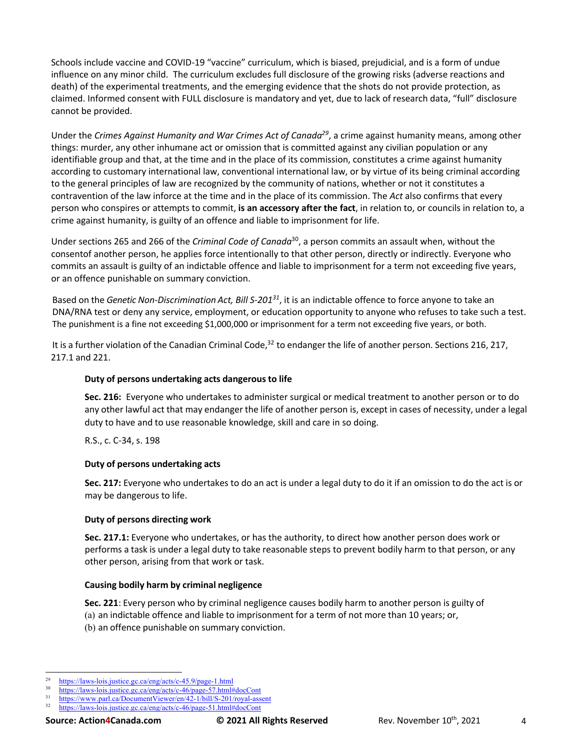Schools include vaccine and COVID-19 "vaccine" curriculum, which is biased, prejudicial, and is a form of undue influence on any minor child. The curriculum excludes full disclosure of the growing risks (adverse reactions and death) of the experimental treatments, and the emerging evidence that the shots do not provide protection, as claimed. Informed consent with FULL disclosure is mandatory and yet, due to lack of research data, "full" disclosure cannot be provided.

Under the *Crimes Against Humanity and War Crimes Act of Canada29*, a crime against humanity means, among other things: murder, any other inhumane act or omission that is committed against any civilian population or any identifiable group and that, at the time and in the place of its commission, constitutes a crime against humanity according to customary international law, conventional international law, or by virtue of its being criminal according to the general principles of law are recognized by the community of nations, whether or not it constitutes a contravention of the law inforce at the time and in the place of its commission. The *Act* also confirms that every person who conspires or attempts to commit, **is an accessory after the fact**, in relation to, or councils in relation to, a crime against humanity, is guilty of an offence and liable to imprisonment for life.

Under sections 265 and 266 of the *Criminal Code of Canada*30, a person commits an assault when, without the consentof another person, he applies force intentionally to that other person, directly or indirectly. Everyone who commits an assault is guilty of an indictable offence and liable to imprisonment for a term not exceeding five years, or an offence punishable on summary conviction.

Based on the *Genetic Non-Discrimination Act, Bill S-20131*, it is an indictable offence to force anyone to take an DNA/RNA test or deny any service, employment, or education opportunity to anyone who refuses to take such a test. The punishment is a fine not exceeding \$1,000,000 or imprisonment for a term not exceeding five years, or both.

It is a further violation of the Canadian Criminal Code,<sup>32</sup> to endanger the life of another person. Sections 216, 217, 217.1 and 221.

### **Duty of persons undertaking acts dangerous to life**

**Sec. 216:** Everyone who undertakes to administer surgical or medical treatment to another person or to do any other lawful act that may endanger the life of another person is, except in cases of necessity, under a legal duty to have and to use reasonable knowledge, skill and care in so doing.

R.S., c. C-34, s. 198

### **Duty of persons undertaking acts**

**Sec. 217:** Everyone who undertakes to do an act is under a legal duty to do it if an omission to do the act is or may be dangerous to life.

#### **Duty of persons directing work**

**Sec. 217.1:** Everyone who undertakes, or has the authority, to direct how another person does work or performs a task is under a legal duty to take reasonable steps to prevent bodily harm to that person, or any other person, arising from that work or task.

#### **Causing bodily harm by criminal negligence**

**Sec. 221**: Every person who by criminal negligence causes bodily harm to another person is guilty of (a) an indictable offence and liable to imprisonment for a term of not more than 10 years; or, (b) an offence punishable on summary conviction.

<sup>&</sup>lt;sup>29</sup> https://laws-lois.justice.gc.ca/eng/acts/c-45.9/page-1.html<br> $\frac{30}{2}$  https://laws.lois.justice.ge.ge/ang/acte/e 46/page-57.html

 $\frac{30}{100}$  https://laws-lois.justice.gc.ca/eng/acts/c-46/page-57.html#docCont

 $\frac{31}{32}$  https://www.parl.ca/DocumentViewer/en/42-1/bill/S-201/royal-assent <sup>32</sup> https://laws-lois.justice.gc.ca/eng/acts/c-46/page-51.html#docCont